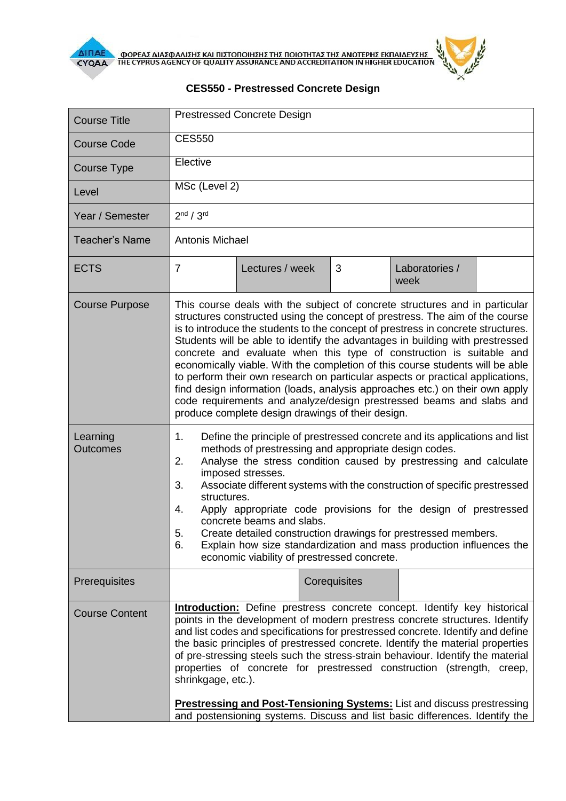



## **CES550 - Prestressed Concrete Design**

| <b>Course Title</b>         | <b>Prestressed Concrete Design</b>                                                                                                                                                                                                                                                                                                                                                                                                                                                                                                                                                                                                                                                                                                                                                       |                 |              |                        |  |
|-----------------------------|------------------------------------------------------------------------------------------------------------------------------------------------------------------------------------------------------------------------------------------------------------------------------------------------------------------------------------------------------------------------------------------------------------------------------------------------------------------------------------------------------------------------------------------------------------------------------------------------------------------------------------------------------------------------------------------------------------------------------------------------------------------------------------------|-----------------|--------------|------------------------|--|
| <b>Course Code</b>          | <b>CES550</b>                                                                                                                                                                                                                                                                                                                                                                                                                                                                                                                                                                                                                                                                                                                                                                            |                 |              |                        |  |
| Course Type                 | Elective                                                                                                                                                                                                                                                                                                                                                                                                                                                                                                                                                                                                                                                                                                                                                                                 |                 |              |                        |  |
| Level                       | MSc (Level 2)                                                                                                                                                                                                                                                                                                                                                                                                                                                                                                                                                                                                                                                                                                                                                                            |                 |              |                        |  |
| Year / Semester             | 2 <sup>nd</sup> / 3 <sup>rd</sup>                                                                                                                                                                                                                                                                                                                                                                                                                                                                                                                                                                                                                                                                                                                                                        |                 |              |                        |  |
| <b>Teacher's Name</b>       | Antonis Michael                                                                                                                                                                                                                                                                                                                                                                                                                                                                                                                                                                                                                                                                                                                                                                          |                 |              |                        |  |
| <b>ECTS</b>                 | $\overline{7}$                                                                                                                                                                                                                                                                                                                                                                                                                                                                                                                                                                                                                                                                                                                                                                           | Lectures / week | 3            | Laboratories /<br>week |  |
| <b>Course Purpose</b>       | This course deals with the subject of concrete structures and in particular<br>structures constructed using the concept of prestress. The aim of the course<br>is to introduce the students to the concept of prestress in concrete structures.<br>Students will be able to identify the advantages in building with prestressed<br>concrete and evaluate when this type of construction is suitable and<br>economically viable. With the completion of this course students will be able<br>to perform their own research on particular aspects or practical applications,<br>find design information (loads, analysis approaches etc.) on their own apply<br>code requirements and analyze/design prestressed beams and slabs and<br>produce complete design drawings of their design. |                 |              |                        |  |
| Learning<br><b>Outcomes</b> | Define the principle of prestressed concrete and its applications and list<br>1.<br>methods of prestressing and appropriate design codes.<br>Analyse the stress condition caused by prestressing and calculate<br>2.<br>imposed stresses.<br>3.<br>Associate different systems with the construction of specific prestressed<br>structures.<br>Apply appropriate code provisions for the design of prestressed<br>4.<br>concrete beams and slabs.<br>Create detailed construction drawings for prestressed members.<br>5.<br>Explain how size standardization and mass production influences the<br>6.<br>economic viability of prestressed concrete.                                                                                                                                    |                 |              |                        |  |
| Prerequisites               |                                                                                                                                                                                                                                                                                                                                                                                                                                                                                                                                                                                                                                                                                                                                                                                          |                 | Corequisites |                        |  |
| <b>Course Content</b>       | <b>Introduction:</b> Define prestress concrete concept. Identify key historical<br>points in the development of modern prestress concrete structures. Identify<br>and list codes and specifications for prestressed concrete. Identify and define<br>the basic principles of prestressed concrete. Identify the material properties<br>of pre-stressing steels such the stress-strain behaviour. Identify the material<br>properties of concrete for prestressed construction (strength, creep,<br>shrinkgage, etc.).<br><b>Prestressing and Post-Tensioning Systems:</b> List and discuss prestressing<br>and postensioning systems. Discuss and list basic differences. Identify the                                                                                                   |                 |              |                        |  |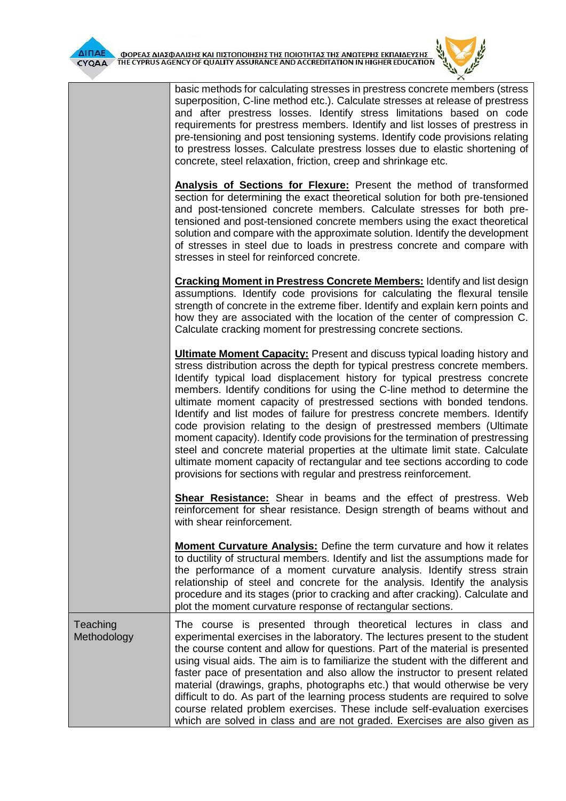

|                         | basic methods for calculating stresses in prestress concrete members (stress<br>superposition, C-line method etc.). Calculate stresses at release of prestress<br>and after prestress losses. Identify stress limitations based on code<br>requirements for prestress members. Identify and list losses of prestress in<br>pre-tensioning and post tensioning systems. Identify code provisions relating<br>to prestress losses. Calculate prestress losses due to elastic shortening of<br>concrete, steel relaxation, friction, creep and shrinkage etc.                                                                                                                                                                                                                                                                                                                         |  |  |  |  |
|-------------------------|------------------------------------------------------------------------------------------------------------------------------------------------------------------------------------------------------------------------------------------------------------------------------------------------------------------------------------------------------------------------------------------------------------------------------------------------------------------------------------------------------------------------------------------------------------------------------------------------------------------------------------------------------------------------------------------------------------------------------------------------------------------------------------------------------------------------------------------------------------------------------------|--|--|--|--|
|                         | <b>Analysis of Sections for Flexure:</b> Present the method of transformed<br>section for determining the exact theoretical solution for both pre-tensioned<br>and post-tensioned concrete members. Calculate stresses for both pre-<br>tensioned and post-tensioned concrete members using the exact theoretical<br>solution and compare with the approximate solution. Identify the development<br>of stresses in steel due to loads in prestress concrete and compare with<br>stresses in steel for reinforced concrete.                                                                                                                                                                                                                                                                                                                                                        |  |  |  |  |
|                         | <b>Cracking Moment in Prestress Concrete Members:</b> Identify and list design<br>assumptions. Identify code provisions for calculating the flexural tensile<br>strength of concrete in the extreme fiber. Identify and explain kern points and<br>how they are associated with the location of the center of compression C.<br>Calculate cracking moment for prestressing concrete sections.                                                                                                                                                                                                                                                                                                                                                                                                                                                                                      |  |  |  |  |
|                         | <b>Ultimate Moment Capacity:</b> Present and discuss typical loading history and<br>stress distribution across the depth for typical prestress concrete members.<br>Identify typical load displacement history for typical prestress concrete<br>members. Identify conditions for using the C-line method to determine the<br>ultimate moment capacity of prestressed sections with bonded tendons.<br>Identify and list modes of failure for prestress concrete members. Identify<br>code provision relating to the design of prestressed members (Ultimate<br>moment capacity). Identify code provisions for the termination of prestressing<br>steel and concrete material properties at the ultimate limit state. Calculate<br>ultimate moment capacity of rectangular and tee sections according to code<br>provisions for sections with regular and prestress reinforcement. |  |  |  |  |
|                         | Shear Resistance: Shear in beams and the effect of prestress. Web<br>reinforcement for shear resistance. Design strength of beams without and<br>with shear reinforcement.                                                                                                                                                                                                                                                                                                                                                                                                                                                                                                                                                                                                                                                                                                         |  |  |  |  |
|                         | <b>Moment Curvature Analysis:</b> Define the term curvature and how it relates<br>to ductility of structural members. Identify and list the assumptions made for<br>the performance of a moment curvature analysis. Identify stress strain<br>relationship of steel and concrete for the analysis. Identify the analysis<br>procedure and its stages (prior to cracking and after cracking). Calculate and<br>plot the moment curvature response of rectangular sections.                                                                                                                                                                                                                                                                                                                                                                                                          |  |  |  |  |
| Teaching<br>Methodology | The course is presented through theoretical lectures in class and<br>experimental exercises in the laboratory. The lectures present to the student<br>the course content and allow for questions. Part of the material is presented<br>using visual aids. The aim is to familiarize the student with the different and<br>faster pace of presentation and also allow the instructor to present related<br>material (drawings, graphs, photographs etc.) that would otherwise be very<br>difficult to do. As part of the learning process students are required to solve<br>course related problem exercises. These include self-evaluation exercises<br>which are solved in class and are not graded. Exercises are also given as                                                                                                                                                  |  |  |  |  |